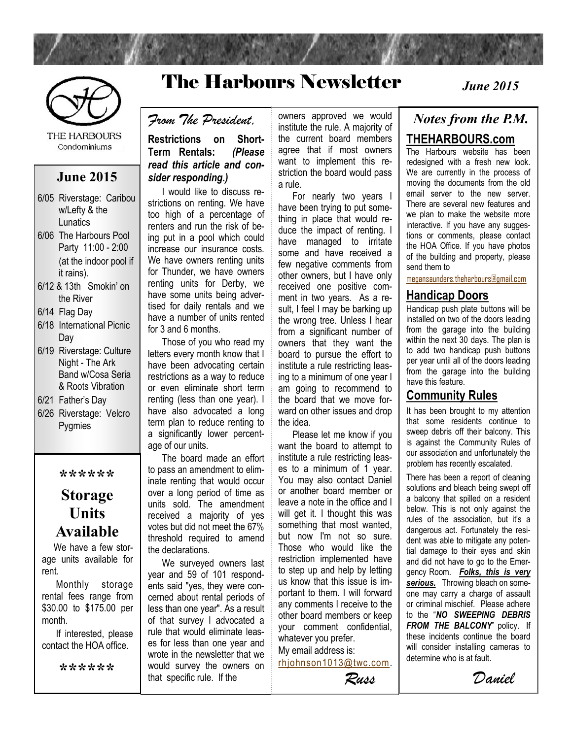

The Harbours Newsletter



**THE HARBOURS** Condominiums

#### **June 2015**

- 6/05 Riverstage: Caribou w/Lefty & the Lunatics
- 6/06 The Harbours Pool Party 11:00 - 2:00 (at the indoor pool if it rains).
- 6/12 & 13th Smokin' on the River
- 6/14 Flag Day
- 6/18 International Picnic Dav
- 6/19 Riverstage: Culture Night - The Ark Band w/Cosa Seria & Roots Vibration
- 6/21 Father's Day
- 6/26 Riverstage: Velcro Pygmies

**\*\*\*\*\*\***

### **Storage Units Available**

 We have a few storage units available for rent.

 Monthly storage rental fees range from \$30.00 to \$175.00 per month.

 If interested, please contact the HOA office.

**\*\*\*\*\*\***

*From The President,*

#### **Restrictions on Short-Term Rentals:** *(Please read this article and consider responding.)*

 I would like to discuss restrictions on renting. We have too high of a percentage of renters and run the risk of being put in a pool which could increase our insurance costs. We have owners renting units for Thunder, we have owners renting units for Derby, we have some units being advertised for daily rentals and we have a number of units rented for 3 and 6 months.

 Those of you who read my letters every month know that I have been advocating certain restrictions as a way to reduce or even eliminate short term renting (less than one year). I have also advocated a long term plan to reduce renting to a significantly lower percentage of our units.

 The board made an effort to pass an amendment to eliminate renting that would occur over a long period of time as units sold. The amendment received a majority of yes votes but did not meet the 67% threshold required to amend the declarations.

 We surveyed owners last year and 59 of 101 respondents said "yes, they were concerned about rental periods of less than one year". As a result of that survey I advocated a rule that would eliminate leases for less than one year and wrote in the newsletter that we would survey the owners on that specific rule. If the

owners approved we would institute the rule. A majority of the current board members agree that if most owners want to implement this restriction the board would pass a rule.

 For nearly two years I have been trying to put something in place that would reduce the impact of renting. I have managed to irritate some and have received a few negative comments from other owners, but I have only received one positive comment in two years. As a result, I feel I may be barking up the wrong tree. Unless I hear from a significant number of owners that they want the board to pursue the effort to institute a rule restricting leasing to a minimum of one year I am going to recommend to the board that we move forward on other issues and drop the idea.

 Please let me know if you want the board to attempt to institute a rule restricting leases to a minimum of 1 year. You may also contact Daniel or another board member or leave a note in the office and I will get it. I thought this was something that most wanted. but now I'm not so sure. Those who would like the restriction implemented have to step up and help by letting us know that this issue is important to them. I will forward any comments I receive to the other board members or keep your comment confidential, whatever you prefer.

My email address is: [rhjohnson1013@twc.com.](mailto:rhjohnson1013@twc.com)

*Russ*

## *June 2015*

#### *Notes from the P.M.* **THEHARBOURS.com**

The Harbours website has been redesigned with a fresh new look. We are currently in the process of moving the documents from the old email server to the new server. There are several new features and we plan to make the website more interactive. If you have any suggestions or comments, please contact the HOA Office. If you have photos of the building and property, please send them to

[megansaunders.theharbours@gmail.com](mailto:megansaunders.theharbours@gmail.com)

#### **Handicap Doors**

Handicap push plate buttons will be installed on two of the doors leading from the garage into the building within the next 30 days. The plan is to add two handicap push buttons per year until all of the doors leading from the garage into the building have this feature.

#### **Community Rules**

It has been brought to my attention that some residents continue to sweep debris off their balcony. This is against the Community Rules of our association and unfortunately the problem has recently escalated.

There has been a report of cleaning solutions and bleach being swept off a balcony that spilled on a resident below. This is not only against the rules of the association, but it's a dangerous act. Fortunately the resident was able to mitigate any potential damage to their eyes and skin and did not have to go to the Emergency Room. *Folks, this is very*  **serious.** Throwing bleach on someone may carry a charge of assault or criminal mischief. Please adhere to the "*NO SWEEPING DEBRIS FROM THE BALCONY*" policy. If these incidents continue the board will consider installing cameras to determine who is at fault.

*Daniel*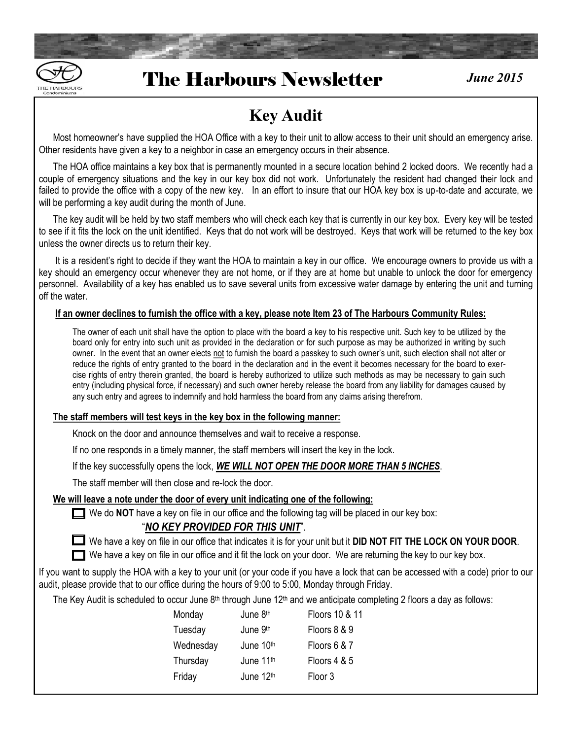

### The Harbours Newsletter *June 2015*

### **Key Audit**

 Most homeowner's have supplied the HOA Office with a key to their unit to allow access to their unit should an emergency arise. Other residents have given a key to a neighbor in case an emergency occurs in their absence.

 The HOA office maintains a key box that is permanently mounted in a secure location behind 2 locked doors. We recently had a couple of emergency situations and the key in our key box did not work. Unfortunately the resident had changed their lock and failed to provide the office with a copy of the new key. In an effort to insure that our HOA key box is up-to-date and accurate, we will be performing a key audit during the month of June.

 The key audit will be held by two staff members who will check each key that is currently in our key box. Every key will be tested to see if it fits the lock on the unit identified. Keys that do not work will be destroyed. Keys that work will be returned to the key box unless the owner directs us to return their key.

 It is a resident's right to decide if they want the HOA to maintain a key in our office. We encourage owners to provide us with a key should an emergency occur whenever they are not home, or if they are at home but unable to unlock the door for emergency personnel. Availability of a key has enabled us to save several units from excessive water damage by entering the unit and turning off the water.

#### **If an owner declines to furnish the office with a key, please note Item 23 of The Harbours Community Rules:**

The owner of each unit shall have the option to place with the board a key to his respective unit. Such key to be utilized by the board only for entry into such unit as provided in the declaration or for such purpose as may be authorized in writing by such owner. In the event that an owner elects not to furnish the board a passkey to such owner's unit, such election shall not alter or reduce the rights of entry granted to the board in the declaration and in the event it becomes necessary for the board to exercise rights of entry therein granted, the board is hereby authorized to utilize such methods as may be necessary to gain such entry (including physical force, if necessary) and such owner hereby release the board from any liability for damages caused by any such entry and agrees to indemnify and hold harmless the board from any claims arising therefrom.

#### **The staff members will test keys in the key box in the following manner:**

Knock on the door and announce themselves and wait to receive a response.

If no one responds in a timely manner, the staff members will insert the key in the lock.

If the key successfully opens the lock, *WE WILL NOT OPEN THE DOOR MORE THAN 5 INCHES*.

The staff member will then close and re-lock the door.

#### **We will leave a note under the door of every unit indicating one of the following:**

We do **NOT** have a key on file in our office and the following tag will be placed in our key box:

#### "*NO KEY PROVIDED FOR THIS UNIT*".

We have a key on file in our office that indicates it is for your unit but it **DID NOT FIT THE LOCK ON YOUR DOOR**.

We have a key on file in our office and it fit the lock on your door. We are returning the key to our key box.

If you want to supply the HOA with a key to your unit (or your code if you have a lock that can be accessed with a code) prior to our audit, please provide that to our office during the hours of 9:00 to 5:00, Monday through Friday.

The Key Audit is scheduled to occur June 8<sup>th</sup> through June 12<sup>th</sup> and we anticipate completing 2 floors a day as follows:

| Monday    | June 8th  | Floors 10 & 11 |
|-----------|-----------|----------------|
| Tuesday   | June 9th  | Floors 8 & 9   |
| Wednesday | June 10th | Floors 6 & 7   |
| Thursday  | June 11th | Floors 4 & 5   |
| Friday    | June 12th | Floor 3        |
|           |           |                |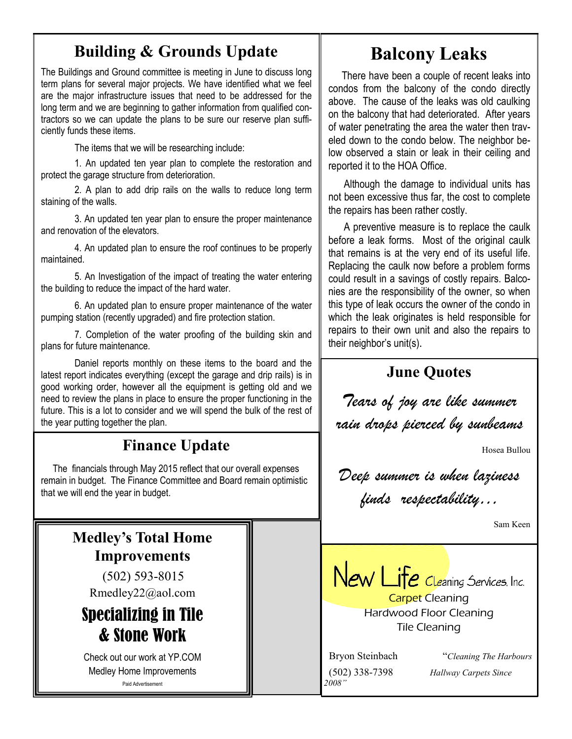### **Building & Grounds Update**

The Buildings and Ground committee is meeting in June to discuss long term plans for several major projects. We have identified what we feel are the major infrastructure issues that need to be addressed for the long term and we are beginning to gather information from qualified contractors so we can update the plans to be sure our reserve plan sufficiently funds these items.

The items that we will be researching include:

1. An updated ten year plan to complete the restoration and protect the garage structure from deterioration.

2. A plan to add drip rails on the walls to reduce long term staining of the walls.

3. An updated ten year plan to ensure the proper maintenance and renovation of the elevators.

4. An updated plan to ensure the roof continues to be properly maintained.

5. An Investigation of the impact of treating the water entering the building to reduce the impact of the hard water.

6. An updated plan to ensure proper maintenance of the water pumping station (recently upgraded) and fire protection station.

7. Completion of the water proofing of the building skin and plans for future maintenance.

Daniel reports monthly on these items to the board and the latest report indicates everything (except the garage and drip rails) is in good working order, however all the equipment is getting old and we need to review the plans in place to ensure the proper functioning in the future. This is a lot to consider and we will spend the bulk of the rest of the year putting together the plan.

### **Finance Update**

 The financials through May 2015 reflect that our overall expenses remain in budget. The Finance Committee and Board remain optimistic that we will end the year in budget.

## **Medley's Total Home Improvements**

 (502) 593-8015 Rmedley22@aol.com

### Specializing in Tile & Stone Work

Check out our work at YP.COM Medley Home Improvements Paid Advertisement

### **Balcony Leaks**

 There have been a couple of recent leaks into condos from the balcony of the condo directly above. The cause of the leaks was old caulking on the balcony that had deteriorated. After years of water penetrating the area the water then traveled down to the condo below. The neighbor below observed a stain or leak in their ceiling and reported it to the HOA Office.

 Although the damage to individual units has not been excessive thus far, the cost to complete the repairs has been rather costly.

 A preventive measure is to replace the caulk before a leak forms. Most of the original caulk that remains is at the very end of its useful life. Replacing the caulk now before a problem forms could result in a savings of costly repairs. Balconies are the responsibility of the owner, so when this type of leak occurs the owner of the condo in which the leak originates is held responsible for repairs to their own unit and also the repairs to their neighbor's unit(s).

### **June Quotes**

*Tears of joy are like summer rain drops pierced by sunbeams*

Hosea Bullou

*Deep summer is when laziness finds respectability…*

Sam Keen



Hardwood Floor Cleaning Tile Cleaning

*2008"*

 Bryon Steinbach "*Cleaning The Harbours* (502) 338-7398 *Hallway Carpets Since*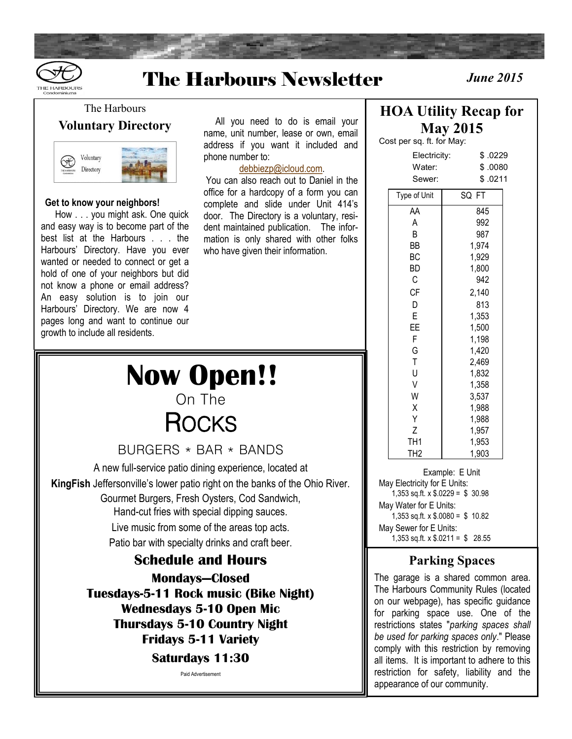



## The Harbours Newsletter *June 2015*

The Harbours **Voluntary Directory**



#### **Get to know your neighbors!**

 How . . . you might ask. One quick and easy way is to become part of the best list at the Harbours . . . the Harbours' Directory. Have you ever wanted or needed to connect or get a hold of one of your neighbors but did not know a phone or email address? An easy solution is to join our Harbours' Directory. We are now 4 pages long and want to continue our growth to include all residents.

 All you need to do is email your name, unit number, lease or own, email address if you want it included and phone number to:

[debbiezp@icloud.com.](mailto:debbiezp@icloud.com) 

You can also reach out to Daniel in the office for a hardcopy of a form you can complete and slide under Unit 414's door. The Directory is a voluntary, resident maintained publication. The information is only shared with other folks who have given their information.

## **Now Open!!** On The **ROCKS**

BURGERS \* BAR \* BANDS

A new full-service patio dining experience, located at **KingFish** Jeffersonville's lower patio right on the banks of the Ohio River. Gourmet Burgers, Fresh Oysters, Cod Sandwich, Hand-cut fries with special dipping sauces. Live music from some of the areas top acts. Patio bar with specialty drinks and craft beer.

#### **Schedule and Hours Mondays—Closed Tuesdays-5-11 Rock music (Bike Night) Wednesdays 5-10 Open Mic Thursdays 5-10 Country Night Fridays 5-11 Variety**

**Saturdays 11:30**

Paid Advertisement

### **HOA Utility Recap for May 2015**

Cost per sq. ft. for May:

| \$.0080<br>Water:<br>\$.0211<br>Sewer:<br>SQ FT<br>Type of Unit<br>845<br>AA<br>A<br>992<br>B<br>987<br>1,974<br>ВB<br>ВC<br>1,929<br>1,800<br>BD<br>С<br>942<br><b>CF</b><br>2,140<br>813<br>D<br>E<br>1,353<br>ΕE<br>1,500<br>1,198<br>F<br>G<br>1,420<br>$\bar{T}$<br>2,469<br>U<br>1,832<br>V<br>1,358<br>W<br>3,537<br>Χ<br>1,988<br>1,988<br>Υ<br>Z<br>1,957<br>TH1<br>1,953<br>1,903<br>TH <sub>2</sub> | Electricity: | \$.0229 |
|----------------------------------------------------------------------------------------------------------------------------------------------------------------------------------------------------------------------------------------------------------------------------------------------------------------------------------------------------------------------------------------------------------------|--------------|---------|
|                                                                                                                                                                                                                                                                                                                                                                                                                |              |         |
|                                                                                                                                                                                                                                                                                                                                                                                                                |              |         |
|                                                                                                                                                                                                                                                                                                                                                                                                                |              |         |
|                                                                                                                                                                                                                                                                                                                                                                                                                |              |         |
|                                                                                                                                                                                                                                                                                                                                                                                                                |              |         |
|                                                                                                                                                                                                                                                                                                                                                                                                                |              |         |
|                                                                                                                                                                                                                                                                                                                                                                                                                |              |         |
|                                                                                                                                                                                                                                                                                                                                                                                                                |              |         |
|                                                                                                                                                                                                                                                                                                                                                                                                                |              |         |
|                                                                                                                                                                                                                                                                                                                                                                                                                |              |         |
|                                                                                                                                                                                                                                                                                                                                                                                                                |              |         |
|                                                                                                                                                                                                                                                                                                                                                                                                                |              |         |
|                                                                                                                                                                                                                                                                                                                                                                                                                |              |         |
|                                                                                                                                                                                                                                                                                                                                                                                                                |              |         |
|                                                                                                                                                                                                                                                                                                                                                                                                                |              |         |
|                                                                                                                                                                                                                                                                                                                                                                                                                |              |         |
|                                                                                                                                                                                                                                                                                                                                                                                                                |              |         |
|                                                                                                                                                                                                                                                                                                                                                                                                                |              |         |
|                                                                                                                                                                                                                                                                                                                                                                                                                |              |         |
|                                                                                                                                                                                                                                                                                                                                                                                                                |              |         |
|                                                                                                                                                                                                                                                                                                                                                                                                                |              |         |
|                                                                                                                                                                                                                                                                                                                                                                                                                |              |         |
|                                                                                                                                                                                                                                                                                                                                                                                                                |              |         |
|                                                                                                                                                                                                                                                                                                                                                                                                                |              |         |
|                                                                                                                                                                                                                                                                                                                                                                                                                |              |         |

Example: E Unit May Electricity for E Units: 1,353 sq.ft. x \$.0229 = \$ 30.98 May Water for E Units: 1,353 sq.ft. x  $$.0080 = $ 10.82$ May Sewer for E Units: 1,353 sq.ft. x  $$.0211 = $ 28.55$ 

#### **Parking Spaces**

The garage is a shared common area. The Harbours Community Rules (located on our webpage), has specific guidance for parking space use. One of the restrictions states "*parking spaces shall be used for parking spaces only*." Please comply with this restriction by removing all items. It is important to adhere to this restriction for safety, liability and the appearance of our community.